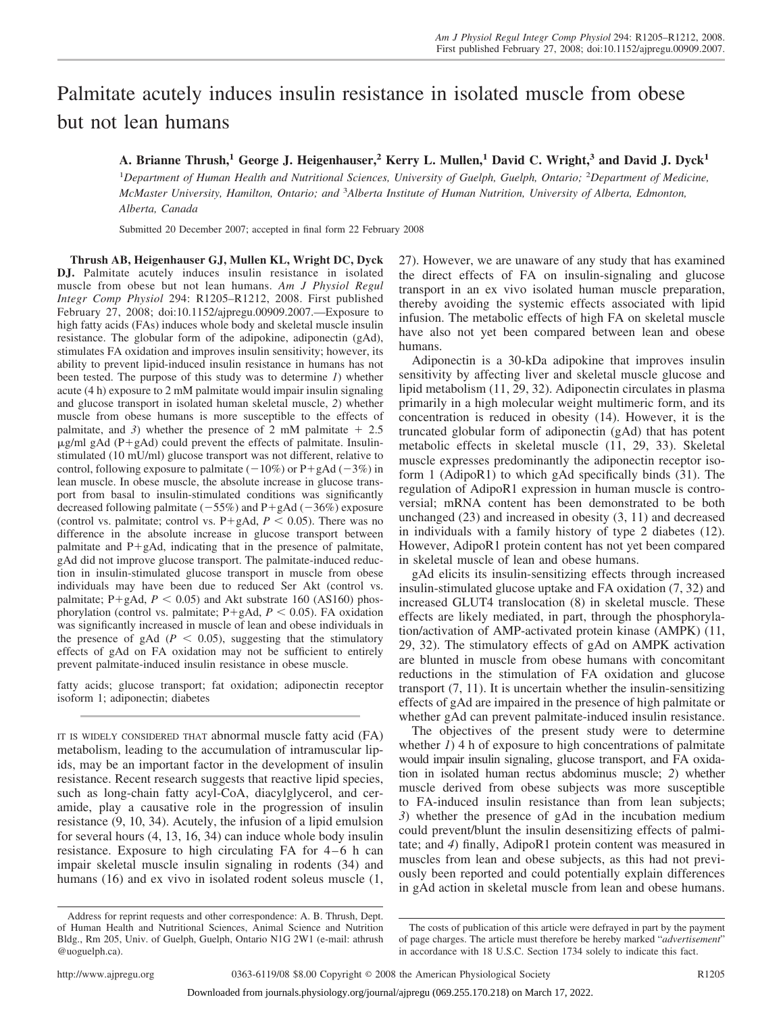# Palmitate acutely induces insulin resistance in isolated muscle from obese but not lean humans

# **A. Brianne Thrush,1 George J. Heigenhauser,2 Kerry L. Mullen,1 David C. Wright,3 and David J. Dyck1**

<sup>1</sup>Department of Human Health and Nutritional Sciences, University of Guelph, Guelph, Ontario; <sup>2</sup>Department of Medicine, McMaster University, Hamilton, Ontario; and <sup>3</sup>Alberta Institute of Human Nutrition, University of Alberta, Edmonton, *Alberta, Canada*

Submitted 20 December 2007; accepted in final form 22 February 2008

**Thrush AB, Heigenhauser GJ, Mullen KL, Wright DC, Dyck DJ.** Palmitate acutely induces insulin resistance in isolated muscle from obese but not lean humans. *Am J Physiol Regul Integr Comp Physiol* 294: R1205–R1212, 2008. First published February 27, 2008; doi:10.1152/ajpregu.00909.2007.—Exposure to high fatty acids (FAs) induces whole body and skeletal muscle insulin resistance. The globular form of the adipokine, adiponectin (gAd), stimulates FA oxidation and improves insulin sensitivity; however, its ability to prevent lipid-induced insulin resistance in humans has not been tested. The purpose of this study was to determine *1*) whether acute (4 h) exposure to 2 mM palmitate would impair insulin signaling and glucose transport in isolated human skeletal muscle, *2*) whether muscle from obese humans is more susceptible to the effects of palmitate, and 3) whether the presence of 2 mM palmitate  $+2.5$  $\mu$ g/ml gAd (P+gAd) could prevent the effects of palmitate. Insulinstimulated (10 mU/ml) glucose transport was not different, relative to control, following exposure to palmitate  $(-10\%)$  or P+gAd  $(-3\%)$  in lean muscle. In obese muscle, the absolute increase in glucose transport from basal to insulin-stimulated conditions was significantly decreased following palmitate  $(-55%)$  and P+gAd  $(-36%)$  exposure (control vs. palmitate; control vs.  $P+gAd$ ,  $P < 0.05$ ). There was no difference in the absolute increase in glucose transport between palmitate and  $P+gAd$ , indicating that in the presence of palmitate, gAd did not improve glucose transport. The palmitate-induced reduction in insulin-stimulated glucose transport in muscle from obese individuals may have been due to reduced Ser Akt (control vs. palmitate;  $P + g$ Ad,  $P < 0.05$ ) and Akt substrate 160 (AS160) phosphorylation (control vs. palmitate;  $P + gAd$ ,  $P < 0.05$ ). FA oxidation was significantly increased in muscle of lean and obese individuals in the presence of gAd  $(P < 0.05)$ , suggesting that the stimulatory effects of gAd on FA oxidation may not be sufficient to entirely prevent palmitate-induced insulin resistance in obese muscle.

fatty acids; glucose transport; fat oxidation; adiponectin receptor isoform 1; adiponectin; diabetes

IT IS WIDELY CONSIDERED THAT abnormal muscle fatty acid (FA) metabolism, leading to the accumulation of intramuscular lipids, may be an important factor in the development of insulin resistance. Recent research suggests that reactive lipid species, such as long-chain fatty acyl-CoA, diacylglycerol, and ceramide, play a causative role in the progression of insulin resistance (9, 10, 34). Acutely, the infusion of a lipid emulsion for several hours (4, 13, 16, 34) can induce whole body insulin resistance. Exposure to high circulating  $FA$  for  $4-6$  h can impair skeletal muscle insulin signaling in rodents (34) and humans (16) and ex vivo in isolated rodent soleus muscle (1, 27). However, we are unaware of any study that has examined the direct effects of FA on insulin-signaling and glucose transport in an ex vivo isolated human muscle preparation, thereby avoiding the systemic effects associated with lipid infusion. The metabolic effects of high FA on skeletal muscle have also not yet been compared between lean and obese humans.

Adiponectin is a 30-kDa adipokine that improves insulin sensitivity by affecting liver and skeletal muscle glucose and lipid metabolism (11, 29, 32). Adiponectin circulates in plasma primarily in a high molecular weight multimeric form, and its concentration is reduced in obesity (14). However, it is the truncated globular form of adiponectin (gAd) that has potent metabolic effects in skeletal muscle (11, 29, 33). Skeletal muscle expresses predominantly the adiponectin receptor isoform 1 (AdipoR1) to which gAd specifically binds (31). The regulation of AdipoR1 expression in human muscle is controversial; mRNA content has been demonstrated to be both unchanged (23) and increased in obesity (3, 11) and decreased in individuals with a family history of type 2 diabetes (12). However, AdipoR1 protein content has not yet been compared in skeletal muscle of lean and obese humans.

gAd elicits its insulin-sensitizing effects through increased insulin-stimulated glucose uptake and FA oxidation (7, 32) and increased GLUT4 translocation (8) in skeletal muscle. These effects are likely mediated, in part, through the phosphorylation/activation of AMP-activated protein kinase (AMPK) (11, 29, 32). The stimulatory effects of gAd on AMPK activation are blunted in muscle from obese humans with concomitant reductions in the stimulation of FA oxidation and glucose transport  $(7, 11)$ . It is uncertain whether the insulin-sensitizing effects of gAd are impaired in the presence of high palmitate or whether gAd can prevent palmitate-induced insulin resistance.

The objectives of the present study were to determine whether *1*) 4 h of exposure to high concentrations of palmitate would impair insulin signaling, glucose transport, and FA oxidation in isolated human rectus abdominus muscle; *2*) whether muscle derived from obese subjects was more susceptible to FA-induced insulin resistance than from lean subjects; *3*) whether the presence of gAd in the incubation medium could prevent/blunt the insulin desensitizing effects of palmitate; and *4*) finally, AdipoR1 protein content was measured in muscles from lean and obese subjects, as this had not previously been reported and could potentially explain differences in gAd action in skeletal muscle from lean and obese humans.

Address for reprint requests and other correspondence: A. B. Thrush, Dept. of Human Health and Nutritional Sciences, Animal Science and Nutrition Bldg., Rm 205, Univ. of Guelph, Guelph, Ontario N1G 2W1 (e-mail: athrush @uoguelph.ca).

The costs of publication of this article were defrayed in part by the payment of page charges. The article must therefore be hereby marked "*advertisement*" in accordance with 18 U.S.C. Section 1734 solely to indicate this fact.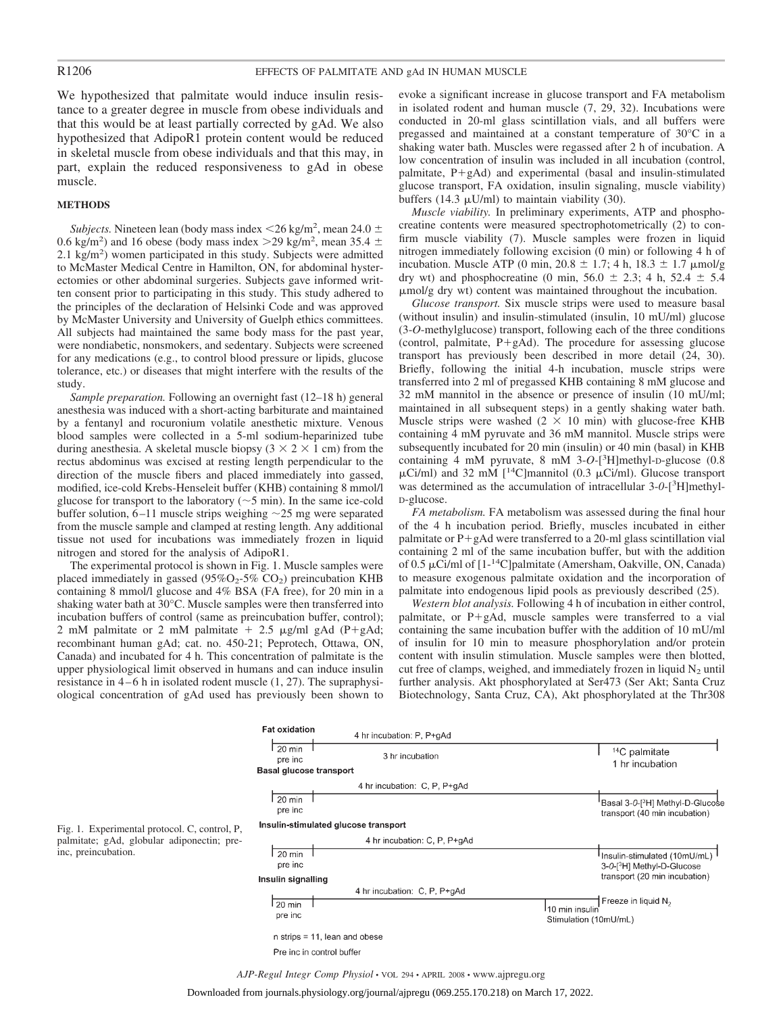We hypothesized that palmitate would induce insulin resistance to a greater degree in muscle from obese individuals and that this would be at least partially corrected by gAd. We also hypothesized that AdipoR1 protein content would be reduced in skeletal muscle from obese individuals and that this may, in part, explain the reduced responsiveness to gAd in obese muscle.

#### **METHODS**

*Subjects*. Nineteen lean (body mass index  $\langle 26 \text{ kg/m}^2$ , mean 24.0  $\pm$ 0.6 kg/m<sup>2</sup>) and 16 obese (body mass index > 29 kg/m<sup>2</sup>, mean 35.4  $\pm$ 2.1 kg/m<sup>2</sup>) women participated in this study. Subjects were admitted to McMaster Medical Centre in Hamilton, ON, for abdominal hysterectomies or other abdominal surgeries. Subjects gave informed written consent prior to participating in this study. This study adhered to the principles of the declaration of Helsinki Code and was approved by McMaster University and University of Guelph ethics committees. All subjects had maintained the same body mass for the past year, were nondiabetic, nonsmokers, and sedentary. Subjects were screened for any medications (e.g., to control blood pressure or lipids, glucose tolerance, etc.) or diseases that might interfere with the results of the study.

*Sample preparation.* Following an overnight fast (12–18 h) general anesthesia was induced with a short-acting barbiturate and maintained by a fentanyl and rocuronium volatile anesthetic mixture. Venous blood samples were collected in a 5-ml sodium-heparinized tube during anesthesia. A skeletal muscle biopsy  $(3 \times 2 \times 1$  cm) from the rectus abdominus was excised at resting length perpendicular to the direction of the muscle fibers and placed immediately into gassed, modified, ice-cold Krebs-Henseleit buffer (KHB) containing 8 mmol/l glucose for transport to the laboratory ( $\sim$ 5 min). In the same ice-cold buffer solution,  $6-11$  muscle strips weighing  $\sim$  25 mg were separated from the muscle sample and clamped at resting length. Any additional tissue not used for incubations was immediately frozen in liquid nitrogen and stored for the analysis of AdipoR1.

The experimental protocol is shown in Fig. 1. Muscle samples were placed immediately in gassed ( $95\%O_2$ - $5\%$  CO<sub>2</sub>) preincubation KHB containing 8 mmol/l glucose and 4% BSA (FA free), for 20 min in a shaking water bath at 30°C. Muscle samples were then transferred into incubation buffers of control (same as preincubation buffer, control); 2 mM palmitate or 2 mM palmitate  $+$  2.5  $\mu$ g/ml gAd (P+gAd; recombinant human gAd; cat. no. 450-21; Peprotech, Ottawa, ON, Canada) and incubated for 4 h. This concentration of palmitate is the upper physiological limit observed in humans and can induce insulin resistance in  $4-6$  h in isolated rodent muscle  $(1, 27)$ . The supraphysiological concentration of gAd used has previously been shown to evoke a significant increase in glucose transport and FA metabolism in isolated rodent and human muscle (7, 29, 32). Incubations were conducted in 20-ml glass scintillation vials, and all buffers were pregassed and maintained at a constant temperature of 30°C in a shaking water bath. Muscles were regassed after 2 h of incubation. A low concentration of insulin was included in all incubation (control, palmitate,  $P+gAd$ ) and experimental (basal and insulin-stimulated glucose transport, FA oxidation, insulin signaling, muscle viability) buffers (14.3  $\mu$ U/ml) to maintain viability (30).

*Muscle viability.* In preliminary experiments, ATP and phosphocreatine contents were measured spectrophotometrically (2) to confirm muscle viability (7). Muscle samples were frozen in liquid nitrogen immediately following excision (0 min) or following 4 h of incubation. Muscle ATP (0 min,  $20.8 \pm 1.7$ ; 4 h,  $18.3 \pm 1.7$   $\mu$ mol/g dry wt) and phosphocreatine (0 min,  $56.0 \pm 2.3$ ; 4 h,  $52.4 \pm 5.4$ -mol/g dry wt) content was maintained throughout the incubation.

*Glucose transport.* Six muscle strips were used to measure basal (without insulin) and insulin-stimulated (insulin, 10 mU/ml) glucose (3-*O*-methylglucose) transport, following each of the three conditions (control, palmitate,  $P+gAd$ ). The procedure for assessing glucose transport has previously been described in more detail (24, 30). Briefly, following the initial 4-h incubation, muscle strips were transferred into 2 ml of pregassed KHB containing 8 mM glucose and 32 mM mannitol in the absence or presence of insulin (10 mU/ml; maintained in all subsequent steps) in a gently shaking water bath. Muscle strips were washed  $(2 \times 10 \text{ min})$  with glucose-free KHB containing 4 mM pyruvate and 36 mM mannitol. Muscle strips were subsequently incubated for 20 min (insulin) or 40 min (basal) in KHB containing 4 mM pyruvate, 8 mM 3-*O-*[ 3 H]methyl-D-glucose (0.8  $\mu$ Ci/ml) and 32 mM [<sup>14</sup>C]mannitol (0.3  $\mu$ Ci/ml). Glucose transport was determined as the accumulation of intracellular 3-*0*-[3 H]methyl-D-glucose.

*FA metabolism.* FA metabolism was assessed during the final hour of the 4 h incubation period. Briefly, muscles incubated in either palmitate or  $P+gAd$  were transferred to a 20-ml glass scintillation vial containing 2 ml of the same incubation buffer, but with the addition of 0.5 µCi/ml of [1-<sup>14</sup>C]palmitate (Amersham, Oakville, ON, Canada) to measure exogenous palmitate oxidation and the incorporation of palmitate into endogenous lipid pools as previously described (25).

*Western blot analysis.* Following 4 h of incubation in either control, palmitate, or  $P+gAd$ , muscle samples were transferred to a vial containing the same incubation buffer with the addition of 10 mU/ml of insulin for 10 min to measure phosphorylation and/or protein content with insulin stimulation. Muscle samples were then blotted, cut free of clamps, weighed, and immediately frozen in liquid  $N_2$  until further analysis. Akt phosphorylated at Ser473 (Ser Akt; Santa Cruz Biotechnology, Santa Cruz, CA), Akt phosphorylated at the Thr308





Downloaded from journals.physiology.org/journal/ajpregu (069.255.170.218) on March 17, 2022.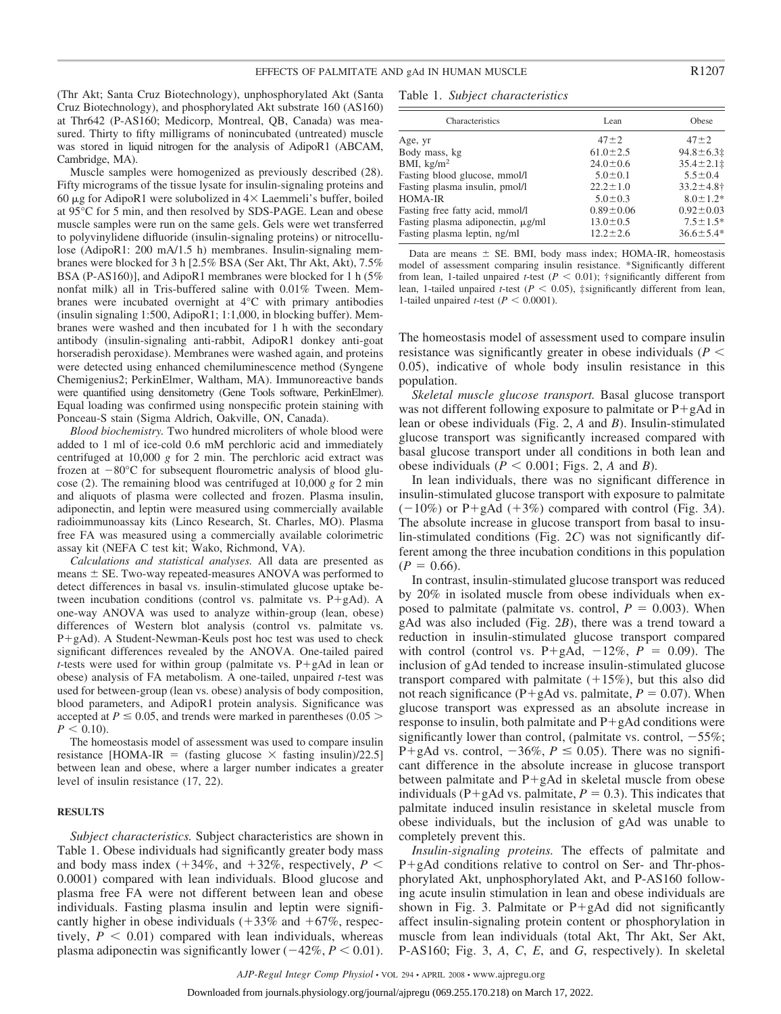(Thr Akt; Santa Cruz Biotechnology), unphosphorylated Akt (Santa Cruz Biotechnology), and phosphorylated Akt substrate 160 (AS160) at Thr642 (P-AS160; Medicorp, Montreal, QB, Canada) was measured. Thirty to fifty milligrams of nonincubated (untreated) muscle was stored in liquid nitrogen for the analysis of AdipoR1 (ABCAM, Cambridge, MA).

Muscle samples were homogenized as previously described (28). Fifty micrograms of the tissue lysate for insulin-signaling proteins and 60  $\mu$ g for AdipoR1 were solubolized in  $4 \times$  Laemmeli's buffer, boiled at 95°C for 5 min, and then resolved by SDS-PAGE. Lean and obese muscle samples were run on the same gels. Gels were wet transferred to polyvinylidene difluoride (insulin-signaling proteins) or nitrocellulose (AdipoR1: 200 mA/1.5 h) membranes. Insulin-signaling membranes were blocked for 3 h [2.5% BSA (Ser Akt, Thr Akt, Akt), 7.5% BSA (P-AS160)], and AdipoR1 membranes were blocked for 1 h (5% nonfat milk) all in Tris-buffered saline with 0.01% Tween. Membranes were incubated overnight at 4°C with primary antibodies (insulin signaling 1:500, AdipoR1; 1:1,000, in blocking buffer). Membranes were washed and then incubated for 1 h with the secondary antibody (insulin-signaling anti-rabbit, AdipoR1 donkey anti-goat horseradish peroxidase). Membranes were washed again, and proteins were detected using enhanced chemiluminescence method (Syngene Chemigenius2; PerkinElmer, Waltham, MA). Immunoreactive bands were quantified using densitometry (Gene Tools software, PerkinElmer). Equal loading was confirmed using nonspecific protein staining with Ponceau-S stain (Sigma Aldrich, Oakville, ON, Canada).

*Blood biochemistry.* Two hundred microliters of whole blood were added to 1 ml of ice-cold 0.6 mM perchloric acid and immediately centrifuged at 10,000 *g* for 2 min. The perchloric acid extract was frozen at  $-80^{\circ}$ C for subsequent flourometric analysis of blood glucose (2). The remaining blood was centrifuged at 10,000 *g* for 2 min and aliquots of plasma were collected and frozen. Plasma insulin, adiponectin, and leptin were measured using commercially available radioimmunoassay kits (Linco Research, St. Charles, MO). Plasma free FA was measured using a commercially available colorimetric assay kit (NEFA C test kit; Wako, Richmond, VA).

*Calculations and statistical analyses.* All data are presented as means  $\pm$  SE. Two-way repeated-measures ANOVA was performed to detect differences in basal vs. insulin-stimulated glucose uptake between incubation conditions (control vs. palmitate vs.  $P+gAd$ ). A one-way ANOVA was used to analyze within-group (lean, obese) differences of Western blot analysis (control vs. palmitate vs.  $P+gAd$ ). A Student-Newman-Keuls post hoc test was used to check significant differences revealed by the ANOVA. One-tailed paired *t*-tests were used for within group (palmitate vs.  $P + gAd$  in lean or obese) analysis of FA metabolism. A one-tailed, unpaired *t*-test was used for between-group (lean vs. obese) analysis of body composition, blood parameters, and AdipoR1 protein analysis. Significance was accepted at  $P \le 0.05$ , and trends were marked in parentheses (0.05  $>$  $P < 0.10$ ).

The homeostasis model of assessment was used to compare insulin resistance [HOMA-IR = (fasting glucose  $\times$  fasting insulin)/22.5] between lean and obese, where a larger number indicates a greater level of insulin resistance (17, 22).

#### **RESULTS**

*Subject characteristics.* Subject characteristics are shown in Table 1. Obese individuals had significantly greater body mass and body mass index  $(+34\%$ , and  $+32\%$ , respectively,  $P \leq$ 0.0001) compared with lean individuals. Blood glucose and plasma free FA were not different between lean and obese individuals. Fasting plasma insulin and leptin were significantly higher in obese individuals  $(+33\%$  and  $+67\%$ , respectively,  $P < 0.01$ ) compared with lean individuals, whereas plasma adiponectin was significantly lower  $(-42\%, P < 0.01)$ .

Table 1. *Subject characteristics*

| Characteristics                   | Lean            | Obese              |
|-----------------------------------|-----------------|--------------------|
| Age, yr                           | $47 + 2$        | $47 + 2$           |
| Body mass, kg                     | $61.0 \pm 2.5$  | $94.8 \pm 6.3$     |
| BMI, $\text{kg/m}^2$              | $24.0 \pm 0.6$  | $35.4 \pm 2.1 \pm$ |
| Fasting blood glucose, mmol/l     | $5.0 \pm 0.1$   | $5.5 \pm 0.4$      |
| Fasting plasma insulin, pmol/l    | $22.2 \pm 1.0$  | $33.2 \pm 4.8$ †   |
| HOMA-IR                           | $5.0 \pm 0.3$   | $8.0 \pm 1.2*$     |
| Fasting free fatty acid, mmol/l   | $0.89 \pm 0.06$ | $0.92 \pm 0.03$    |
| Fasting plasma adiponectin, µg/ml | $13.0 \pm 0.5$  | $7.5 \pm 1.5*$     |
| Fasting plasma leptin, ng/ml      | $12.2 \pm 2.6$  | $36.6 \pm 5.4*$    |
|                                   |                 |                    |

Data are means  $\pm$  SE. BMI, body mass index; HOMA-IR, homeostasis model of assessment comparing insulin resistance. \*Significantly different from lean, 1-tailed unpaired *t*-test ( $P < 0.01$ ); †significantly different from lean, 1-tailed unpaired *t*-test ( $P < 0.05$ ), ‡significantly different from lean, 1-tailed unpaired *t*-test ( $P < 0.0001$ ).

The homeostasis model of assessment used to compare insulin resistance was significantly greater in obese individuals (*P* 0.05), indicative of whole body insulin resistance in this population.

*Skeletal muscle glucose transport.* Basal glucose transport was not different following exposure to palmitate or  $P+gAd$  in lean or obese individuals (Fig. 2, *A* and *B*). Insulin-stimulated glucose transport was significantly increased compared with basal glucose transport under all conditions in both lean and obese individuals ( $P \le 0.001$ ; Figs. 2, A and B).

In lean individuals, there was no significant difference in insulin-stimulated glucose transport with exposure to palmitate  $(-10\%)$  or P+gAd (+3%) compared with control (Fig. 3*A*). The absolute increase in glucose transport from basal to insulin-stimulated conditions (Fig. 2*C*) was not significantly different among the three incubation conditions in this population  $(P = 0.66)$ .

In contrast, insulin-stimulated glucose transport was reduced by 20% in isolated muscle from obese individuals when exposed to palmitate (palmitate vs. control,  $P = 0.003$ ). When gAd was also included (Fig. 2*B*), there was a trend toward a reduction in insulin-stimulated glucose transport compared with control (control vs.  $P+gAd$ ,  $-12\%$ ,  $P = 0.09$ ). The inclusion of gAd tended to increase insulin-stimulated glucose transport compared with palmitate  $(+15%)$ , but this also did not reach significance (P+gAd vs. palmitate,  $P = 0.07$ ). When glucose transport was expressed as an absolute increase in response to insulin, both palmitate and  $P+gAd$  conditions were significantly lower than control, (palmitate vs. control,  $-55\%$ ; P+gAd vs. control,  $-36\%, P \le 0.05$ ). There was no significant difference in the absolute increase in glucose transport between palmitate and  $P+gAd$  in skeletal muscle from obese individuals ( $P + g$ Ad vs. palmitate,  $P = 0.3$ ). This indicates that palmitate induced insulin resistance in skeletal muscle from obese individuals, but the inclusion of gAd was unable to completely prevent this.

*Insulin-signaling proteins.* The effects of palmitate and  $P + g$ Ad conditions relative to control on Ser- and Thr-phosphorylated Akt, unphosphorylated Akt, and P-AS160 following acute insulin stimulation in lean and obese individuals are shown in Fig. 3. Palmitate or  $P+gAd$  did not significantly affect insulin-signaling protein content or phosphorylation in muscle from lean individuals (total Akt, Thr Akt, Ser Akt, P-AS160; Fig. 3, *A*, *C*, *E*, and *G*, respectively). In skeletal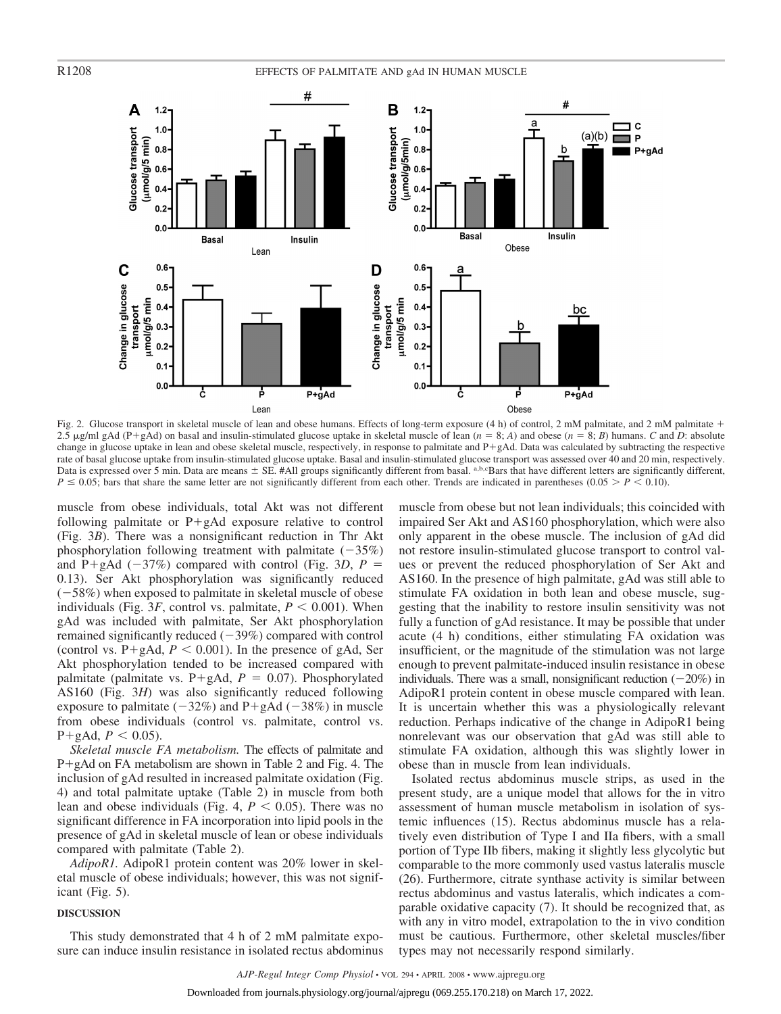

Fig. 2. Glucose transport in skeletal muscle of lean and obese humans. Effects of long-term exposure (4 h) of control, 2 mM palmitate, and 2 mM palmitate + 2.5  $\mu$ g/ml gAd (P+gAd) on basal and insulin-stimulated glucose uptake in skeletal muscle of lean (*n* = 8; *A*) and obese (*n* = 8; *B*) humans. *C* and *D*: absolute change in glucose uptake in lean and obese skeletal muscle, respectively, in response to palmitate and P+gAd. Data was calculated by subtracting the respective rate of basal glucose uptake from insulin-stimulated glucose uptake. Basal and insulin-stimulated glucose transport was assessed over 40 and 20 min, respectively. Data is expressed over 5 min. Data are means  $\pm$  SE. #All groups significantly different from basal. a,b, $\epsilon$ Bars that have different letters are significantly different,  $P \le 0.05$ ; bars that share the same letter are not significantly different from each other. Trends are indicated in parentheses (0.05  $\ge P \le 0.10$ ).

muscle from obese individuals, total Akt was not different following palmitate or  $P+gAd$  exposure relative to control (Fig. 3*B*). There was a nonsignificant reduction in Thr Akt phosphorylation following treatment with palmitate  $(-35\%)$ and P+gAd ( $-37\%$ ) compared with control (Fig. 3*D*, *P* = 0.13). Ser Akt phosphorylation was significantly reduced  $(-58%)$  when exposed to palmitate in skeletal muscle of obese individuals (Fig. 3*F*, control vs. palmitate,  $P \leq 0.001$ ). When gAd was included with palmitate, Ser Akt phosphorylation remained significantly reduced  $(-39%)$  compared with control (control vs.  $P + gAd$ ,  $P < 0.001$ ). In the presence of gAd, Ser Akt phosphorylation tended to be increased compared with palmitate (palmitate vs.  $P + gAd$ ,  $P = 0.07$ ). Phosphorylated AS160 (Fig. 3*H*) was also significantly reduced following exposure to palmitate  $(-32%)$  and P+gAd  $(-38%)$  in muscle from obese individuals (control vs. palmitate, control vs.  $P+gAd, P < 0.05$ ).

*Skeletal muscle FA metabolism.* The effects of palmitate and  $P+g$ Ad on FA metabolism are shown in Table 2 and Fig. 4. The inclusion of gAd resulted in increased palmitate oxidation (Fig. 4) and total palmitate uptake (Table 2) in muscle from both lean and obese individuals (Fig. 4,  $P < 0.05$ ). There was no significant difference in FA incorporation into lipid pools in the presence of gAd in skeletal muscle of lean or obese individuals compared with palmitate (Table 2).

*AdipoR1.* AdipoR1 protein content was 20% lower in skeletal muscle of obese individuals; however, this was not significant (Fig. 5).

## **DISCUSSION**

This study demonstrated that 4 h of 2 mM palmitate exposure can induce insulin resistance in isolated rectus abdominus muscle from obese but not lean individuals; this coincided with impaired Ser Akt and AS160 phosphorylation, which were also only apparent in the obese muscle. The inclusion of gAd did not restore insulin-stimulated glucose transport to control values or prevent the reduced phosphorylation of Ser Akt and AS160. In the presence of high palmitate, gAd was still able to stimulate FA oxidation in both lean and obese muscle, suggesting that the inability to restore insulin sensitivity was not fully a function of gAd resistance. It may be possible that under acute (4 h) conditions, either stimulating FA oxidation was insufficient, or the magnitude of the stimulation was not large enough to prevent palmitate-induced insulin resistance in obese individuals. There was a small, nonsignificant reduction  $(-20\%)$  in AdipoR1 protein content in obese muscle compared with lean. It is uncertain whether this was a physiologically relevant reduction. Perhaps indicative of the change in AdipoR1 being nonrelevant was our observation that gAd was still able to stimulate FA oxidation, although this was slightly lower in obese than in muscle from lean individuals.

Isolated rectus abdominus muscle strips, as used in the present study, are a unique model that allows for the in vitro assessment of human muscle metabolism in isolation of systemic influences (15). Rectus abdominus muscle has a relatively even distribution of Type I and IIa fibers, with a small portion of Type IIb fibers, making it slightly less glycolytic but comparable to the more commonly used vastus lateralis muscle (26). Furthermore, citrate synthase activity is similar between rectus abdominus and vastus lateralis, which indicates a comparable oxidative capacity (7). It should be recognized that, as with any in vitro model, extrapolation to the in vivo condition must be cautious. Furthermore, other skeletal muscles/fiber types may not necessarily respond similarly.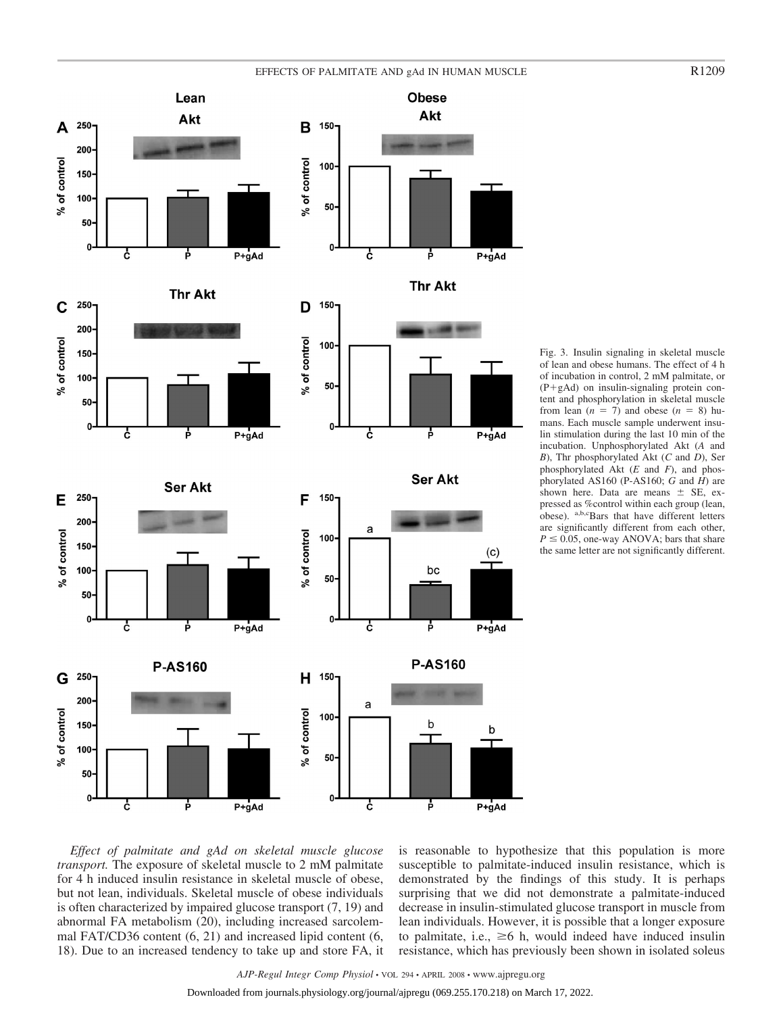# EFFECTS OF PALMITATE AND gAd IN HUMAN MUSCLE R1209









 $150 -$ 

 $100 -$ 

 $50 -$ 

0

a

ċ

F

% of control

**Thr Akt** 

**Ser Akt** 

bc

P

b

P

**P-AS160** 

 $(c)$ 

 $P+gAd$ 

P+gAd

Fig. 3. Insulin signaling in skeletal muscle of lean and obese humans. The effect of 4 h of incubation in control, 2 mM palmitate, or  $(P+gAd)$  on insulin-signaling protein content and phosphorylation in skeletal muscle from lean  $(n = 7)$  and obese  $(n = 8)$  humans. Each muscle sample underwent insulin stimulation during the last 10 min of the incubation. Unphosphorylated Akt (*A* and *B*), Thr phosphorylated Akt (*C* and *D*), Ser phosphorylated Akt (*E* and *F*), and phosphorylated AS160 (P-AS160; *G* and *H*) are shown here. Data are means  $\pm$  SE, expressed as %control within each group (lean, obese). a,b,cBars that have different letters are significantly different from each other,  $P \leq 0.05$ , one-way ANOVA; bars that share the same letter are not significantly different.





*Effect of palmitate and gAd on skeletal muscle glucose transport.* The exposure of skeletal muscle to 2 mM palmitate for 4 h induced insulin resistance in skeletal muscle of obese, but not lean, individuals. Skeletal muscle of obese individuals is often characterized by impaired glucose transport (7, 19) and abnormal FA metabolism (20), including increased sarcolemmal FAT/CD36 content (6, 21) and increased lipid content (6, 18). Due to an increased tendency to take up and store FA, it is reasonable to hypothesize that this population is more susceptible to palmitate-induced insulin resistance, which is demonstrated by the findings of this study. It is perhaps surprising that we did not demonstrate a palmitate-induced decrease in insulin-stimulated glucose transport in muscle from lean individuals. However, it is possible that a longer exposure to palmitate, i.e.,  $\geq 6$  h, would indeed have induced insulin resistance, which has previously been shown in isolated soleus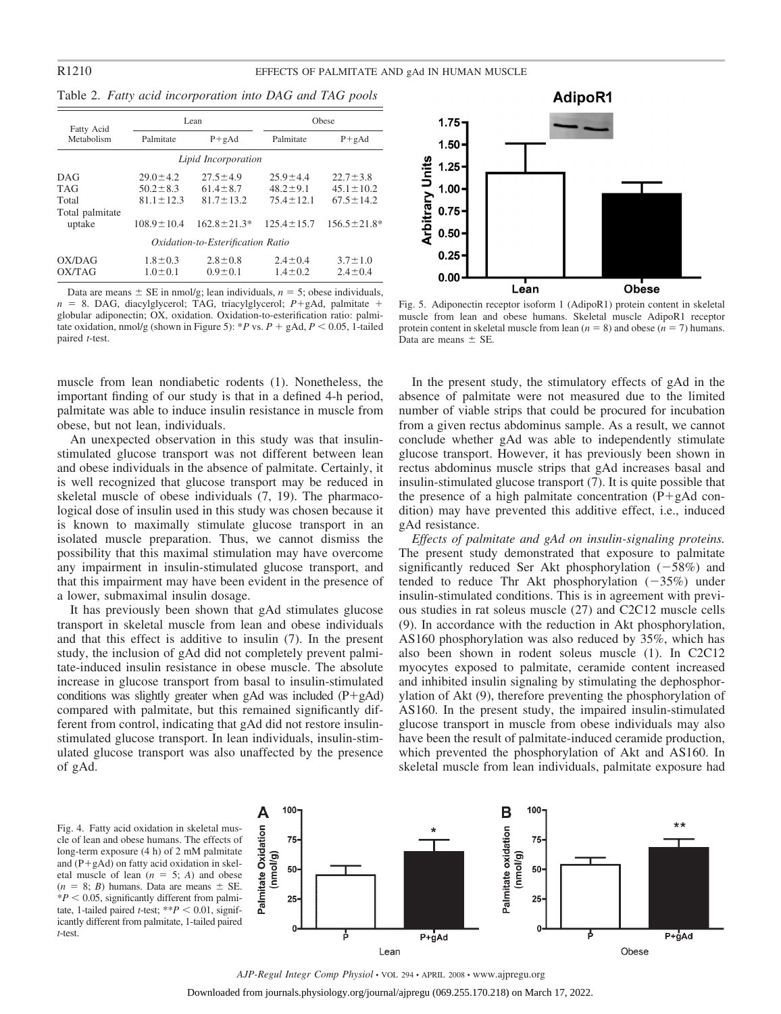|  |  | Table 2. Fatty acid incorporation into DAG and TAG pools |  |  |  |
|--|--|----------------------------------------------------------|--|--|--|
|  |  |                                                          |  |  |  |

| Fatty Acid                                              |                                                                       | Lean                                                                   | Obese                                                                   |                                                                         |  |  |  |  |
|---------------------------------------------------------|-----------------------------------------------------------------------|------------------------------------------------------------------------|-------------------------------------------------------------------------|-------------------------------------------------------------------------|--|--|--|--|
| Metabolism                                              | Palmitate                                                             | $P + gAd$                                                              | Palmitate                                                               | $P + gAd$                                                               |  |  |  |  |
| Lipid Incorporation                                     |                                                                       |                                                                        |                                                                         |                                                                         |  |  |  |  |
| DAG<br><b>TAG</b><br>Total<br>Total palmitate<br>uptake | $29.0 \pm 4.2$<br>$50.2 \pm 8.3$<br>$81.1 + 12.3$<br>$108.9 \pm 10.4$ | $27.5 \pm 4.9$<br>$61.4 \pm 8.7$<br>$81.7 + 13.2$<br>$162.8 \pm 21.3*$ | $25.9 \pm 4.4$<br>$48.2 \pm 9.1$<br>$75.4 \pm 12.1$<br>$125.4 \pm 15.7$ | $22.7 \pm 3.8$<br>$45.1 \pm 10.2$<br>$67.5 + 14.2$<br>$156.5 \pm 21.8*$ |  |  |  |  |
| Oxidation-to-Esterification Ratio                       |                                                                       |                                                                        |                                                                         |                                                                         |  |  |  |  |
| OX/DAG<br>OX/TAG                                        | $1.8 \pm 0.3$<br>$1.0 \pm 0.1$                                        | $2.8 \pm 0.8$<br>$0.9 \pm 0.1$                                         | $2.4 \pm 0.4$<br>$1.4 \pm 0.2$                                          | $3.7 \pm 1.0$<br>$2.4 \pm 0.4$                                          |  |  |  |  |

Data are means  $\pm$  SE in nmol/g; lean individuals,  $n = 5$ ; obese individuals,  $n = 8$ . DAG, diacylglycerol; TAG, triacylglycerol;  $P + g$ Ad, palmitate + globular adiponectin; OX, oxidation. Oxidation-to-esterification ratio: palmitate oxidation, nmol/g (shown in Figure 5): \**P* vs.  $P$  + gAd,  $P$  < 0.05, 1-tailed paired *t*-test.

muscle from lean nondiabetic rodents (1). Nonetheless, the important finding of our study is that in a defined 4-h period, palmitate was able to induce insulin resistance in muscle from obese, but not lean, individuals.

An unexpected observation in this study was that insulinstimulated glucose transport was not different between lean and obese individuals in the absence of palmitate. Certainly, it is well recognized that glucose transport may be reduced in skeletal muscle of obese individuals (7, 19). The pharmacological dose of insulin used in this study was chosen because it is known to maximally stimulate glucose transport in an isolated muscle preparation. Thus, we cannot dismiss the possibility that this maximal stimulation may have overcome any impairment in insulin-stimulated glucose transport, and that this impairment may have been evident in the presence of a lower, submaximal insulin dosage.

It has previously been shown that gAd stimulates glucose transport in skeletal muscle from lean and obese individuals and that this effect is additive to insulin (7). In the present study, the inclusion of gAd did not completely prevent palmitate-induced insulin resistance in obese muscle. The absolute increase in glucose transport from basal to insulin-stimulated conditions was slightly greater when gAd was included  $(P + gAd)$ compared with palmitate, but this remained significantly different from control, indicating that gAd did not restore insulinstimulated glucose transport. In lean individuals, insulin-stimulated glucose transport was also unaffected by the presence of gAd.



Fig. 5. Adiponectin receptor isoform 1 (AdipoR1) protein content in skeletal muscle from lean and obese humans. Skeletal muscle AdipoR1 receptor protein content in skeletal muscle from lean  $(n = 8)$  and obese  $(n = 7)$  humans. Data are means  $\pm$  SE.

In the present study, the stimulatory effects of gAd in the absence of palmitate were not measured due to the limited number of viable strips that could be procured for incubation from a given rectus abdominus sample. As a result, we cannot conclude whether gAd was able to independently stimulate glucose transport. However, it has previously been shown in rectus abdominus muscle strips that gAd increases basal and insulin-stimulated glucose transport (7). It is quite possible that the presence of a high palmitate concentration  $(P + gAd)$  condition) may have prevented this additive effect, i.e., induced gAd resistance.

*Effects of palmitate and gAd on insulin-signaling proteins.* The present study demonstrated that exposure to palmitate significantly reduced Ser Akt phosphorylation  $(-58%)$  and tended to reduce Thr Akt phosphorylation  $(-35%)$  under insulin-stimulated conditions. This is in agreement with previous studies in rat soleus muscle (27) and C2C12 muscle cells (9). In accordance with the reduction in Akt phosphorylation, AS160 phosphorylation was also reduced by 35%, which has also been shown in rodent soleus muscle (1). In C2C12 myocytes exposed to palmitate, ceramide content increased and inhibited insulin signaling by stimulating the dephosphorylation of Akt (9), therefore preventing the phosphorylation of AS160. In the present study, the impaired insulin-stimulated glucose transport in muscle from obese individuals may also have been the result of palmitate-induced ceramide production, which prevented the phosphorylation of Akt and AS160. In skeletal muscle from lean individuals, palmitate exposure had

Fig. 4. Fatty acid oxidation in skeletal muscle of lean and obese humans. The effects of long-term exposure (4 h) of 2 mM palmitate and  $(P+gAd)$  on fatty acid oxidation in skeletal muscle of lean  $(n = 5; A)$  and obese  $(n = 8; B)$  humans. Data are means  $\pm$  SE.  $*P < 0.05$ , significantly different from palmitate, 1-tailed paired *t*-test;  $*P < 0.01$ , significantly different from palmitate, 1-tailed paired *t*-test.



*AJP-Regul Integr Comp Physiol* • VOL 294 • APRIL 2008 • www.ajpregu.org Downloaded from journals.physiology.org/journal/ajpregu (069.255.170.218) on March 17, 2022.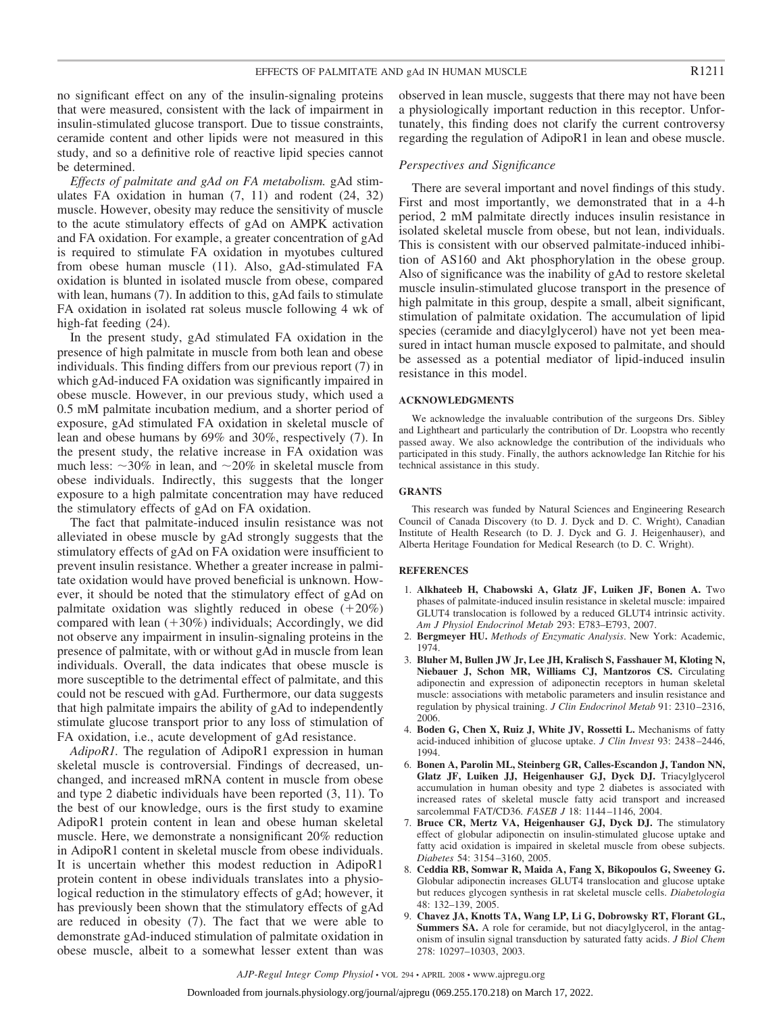no significant effect on any of the insulin-signaling proteins that were measured, consistent with the lack of impairment in insulin-stimulated glucose transport. Due to tissue constraints, ceramide content and other lipids were not measured in this study, and so a definitive role of reactive lipid species cannot be determined.

*Effects of palmitate and gAd on FA metabolism.* gAd stimulates FA oxidation in human (7, 11) and rodent (24, 32) muscle. However, obesity may reduce the sensitivity of muscle to the acute stimulatory effects of gAd on AMPK activation and FA oxidation. For example, a greater concentration of gAd is required to stimulate FA oxidation in myotubes cultured from obese human muscle (11). Also, gAd-stimulated FA oxidation is blunted in isolated muscle from obese, compared with lean, humans (7). In addition to this, gAd fails to stimulate FA oxidation in isolated rat soleus muscle following 4 wk of high-fat feeding (24).

In the present study, gAd stimulated FA oxidation in the presence of high palmitate in muscle from both lean and obese individuals. This finding differs from our previous report (7) in which gAd-induced FA oxidation was significantly impaired in obese muscle. However, in our previous study, which used a 0.5 mM palmitate incubation medium, and a shorter period of exposure, gAd stimulated FA oxidation in skeletal muscle of lean and obese humans by 69% and 30%, respectively (7). In the present study, the relative increase in FA oxidation was much less:  $\sim$ 30% in lean, and  $\sim$ 20% in skeletal muscle from obese individuals. Indirectly, this suggests that the longer exposure to a high palmitate concentration may have reduced the stimulatory effects of gAd on FA oxidation.

The fact that palmitate-induced insulin resistance was not alleviated in obese muscle by gAd strongly suggests that the stimulatory effects of gAd on FA oxidation were insufficient to prevent insulin resistance. Whether a greater increase in palmitate oxidation would have proved beneficial is unknown. However, it should be noted that the stimulatory effect of gAd on palmitate oxidation was slightly reduced in obese  $(+20\%)$ compared with lean  $(+30%)$  individuals; Accordingly, we did not observe any impairment in insulin-signaling proteins in the presence of palmitate, with or without gAd in muscle from lean individuals. Overall, the data indicates that obese muscle is more susceptible to the detrimental effect of palmitate, and this could not be rescued with gAd. Furthermore, our data suggests that high palmitate impairs the ability of gAd to independently stimulate glucose transport prior to any loss of stimulation of FA oxidation, i.e., acute development of gAd resistance.

*AdipoR1.* The regulation of AdipoR1 expression in human skeletal muscle is controversial. Findings of decreased, unchanged, and increased mRNA content in muscle from obese and type 2 diabetic individuals have been reported (3, 11). To the best of our knowledge, ours is the first study to examine AdipoR1 protein content in lean and obese human skeletal muscle. Here, we demonstrate a nonsignificant 20% reduction in AdipoR1 content in skeletal muscle from obese individuals. It is uncertain whether this modest reduction in AdipoR1 protein content in obese individuals translates into a physiological reduction in the stimulatory effects of gAd; however, it has previously been shown that the stimulatory effects of gAd are reduced in obesity (7). The fact that we were able to demonstrate gAd-induced stimulation of palmitate oxidation in obese muscle, albeit to a somewhat lesser extent than was observed in lean muscle, suggests that there may not have been a physiologically important reduction in this receptor. Unfortunately, this finding does not clarify the current controversy regarding the regulation of AdipoR1 in lean and obese muscle.

#### *Perspectives and Significance*

There are several important and novel findings of this study. First and most importantly, we demonstrated that in a 4-h period, 2 mM palmitate directly induces insulin resistance in isolated skeletal muscle from obese, but not lean, individuals. This is consistent with our observed palmitate-induced inhibition of AS160 and Akt phosphorylation in the obese group. Also of significance was the inability of gAd to restore skeletal muscle insulin-stimulated glucose transport in the presence of high palmitate in this group, despite a small, albeit significant, stimulation of palmitate oxidation. The accumulation of lipid species (ceramide and diacylglycerol) have not yet been measured in intact human muscle exposed to palmitate, and should be assessed as a potential mediator of lipid-induced insulin resistance in this model.

#### **ACKNOWLEDGMENTS**

We acknowledge the invaluable contribution of the surgeons Drs. Sibley and Lightheart and particularly the contribution of Dr. Loopstra who recently passed away. We also acknowledge the contribution of the individuals who participated in this study. Finally, the authors acknowledge Ian Ritchie for his technical assistance in this study.

#### **GRANTS**

This research was funded by Natural Sciences and Engineering Research Council of Canada Discovery (to D. J. Dyck and D. C. Wright), Canadian Institute of Health Research (to D. J. Dyck and G. J. Heigenhauser), and Alberta Heritage Foundation for Medical Research (to D. C. Wright).

### **REFERENCES**

- 1. **Alkhateeb H, Chabowski A, Glatz JF, Luiken JF, Bonen A.** Two phases of palmitate-induced insulin resistance in skeletal muscle: impaired GLUT4 translocation is followed by a reduced GLUT4 intrinsic activity. *Am J Physiol Endocrinol Metab* 293: E783–E793, 2007.
- 2. **Bergmeyer HU.** *Methods of Enzymatic Analysis*. New York: Academic, 1974.
- 3. **Bluher M, Bullen JW Jr, Lee JH, Kralisch S, Fasshauer M, Kloting N, Niebauer J, Schon MR, Williams CJ, Mantzoros CS.** Circulating adiponectin and expression of adiponectin receptors in human skeletal muscle: associations with metabolic parameters and insulin resistance and regulation by physical training. *J Clin Endocrinol Metab* 91: 2310 –2316, 2006.
- 4. **Boden G, Chen X, Ruiz J, White JV, Rossetti L.** Mechanisms of fatty acid-induced inhibition of glucose uptake. *J Clin Invest* 93: 2438 –2446, 1994.
- 6. **Bonen A, Parolin ML, Steinberg GR, Calles-Escandon J, Tandon NN, Glatz JF, Luiken JJ, Heigenhauser GJ, Dyck DJ.** Triacylglycerol accumulation in human obesity and type 2 diabetes is associated with increased rates of skeletal muscle fatty acid transport and increased sarcolemmal FAT/CD36. *FASEB J* 18: 1144 –1146, 2004.
- 7. **Bruce CR, Mertz VA, Heigenhauser GJ, Dyck DJ.** The stimulatory effect of globular adiponectin on insulin-stimulated glucose uptake and fatty acid oxidation is impaired in skeletal muscle from obese subjects. *Diabetes* 54: 3154 –3160, 2005.
- 8. **Ceddia RB, Somwar R, Maida A, Fang X, Bikopoulos G, Sweeney G.** Globular adiponectin increases GLUT4 translocation and glucose uptake but reduces glycogen synthesis in rat skeletal muscle cells. *Diabetologia* 48: 132–139, 2005.
- 9. **Chavez JA, Knotts TA, Wang LP, Li G, Dobrowsky RT, Florant GL, Summers SA.** A role for ceramide, but not diacylglycerol, in the antagonism of insulin signal transduction by saturated fatty acids. *J Biol Chem* 278: 10297–10303, 2003.